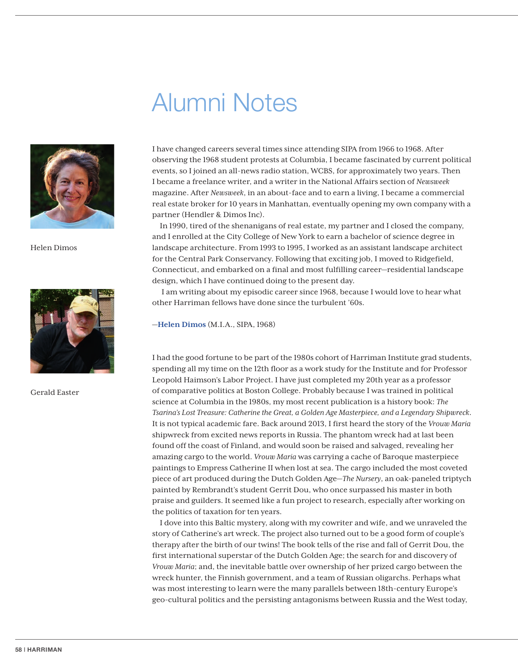## Alumni Notes



Helen Dimos



Gerald Easter

I have changed careers several times since attending SIPA from 1966 to 1968. After observing the 1968 student protests at Columbia, I became fascinated by current political events, so I joined an all-news radio station, WCBS, for approximately two years. Then I became a freelance writer, and a writer in the National Affairs section of *Newsweek* magazine. After *Newsweek*, in an about-face and to earn a living, I became a commercial real estate broker for 10 years in Manhattan, eventually opening my own company with a partner (Hendler & Dimos Inc).

In 1990, tired of the shenanigans of real estate, my partner and I closed the company, and I enrolled at the City College of New York to earn a bachelor of science degree in landscape architecture. From 1993 to 1995, I worked as an assistant landscape architect for the Central Park Conservancy. Following that exciting job, I moved to Ridgefield, Connecticut, and embarked on a final and most fulfilling career—residential landscape design, which I have continued doing to the present day.

 I am writing about my episodic career since 1968, because I would love to hear what other Harriman fellows have done since the turbulent '60s.

—**Helen Dimos** (M.I.A., SIPA, 1968)

I had the good fortune to be part of the 1980s cohort of Harriman Institute grad students, spending all my time on the 12th floor as a work study for the Institute and for Professor Leopold Haimson's Labor Project. I have just completed my 20th year as a professor of comparative politics at Boston College. Probably because I was trained in political science at Columbia in the 1980s, my most recent publication is a history book: *The Tsarina's Lost Treasure: Catherine the Great, a Golden Age Masterpiece, and a Legendary Shipwreck*. It is not typical academic fare. Back around 2013, I first heard the story of the *Vrouw Maria* shipwreck from excited news reports in Russia. The phantom wreck had at last been found off the coast of Finland, and would soon be raised and salvaged, revealing her amazing cargo to the world. *Vrouw Maria* was carrying a cache of Baroque masterpiece paintings to Empress Catherine II when lost at sea. The cargo included the most coveted piece of art produced during the Dutch Golden Age—*The Nursery*, an oak-paneled triptych painted by Rembrandt's student Gerrit Dou, who once surpassed his master in both praise and guilders. It seemed like a fun project to research, especially after working on the politics of taxation for ten years.

I dove into this Baltic mystery, along with my cowriter and wife, and we unraveled the story of Catherine's art wreck. The project also turned out to be a good form of couple's therapy after the birth of our twins! The book tells of the rise and fall of Gerrit Dou, the first international superstar of the Dutch Golden Age; the search for and discovery of *Vrouw Maria*; and, the inevitable battle over ownership of her prized cargo between the wreck hunter, the Finnish government, and a team of Russian oligarchs. Perhaps what was most interesting to learn were the many parallels between 18th-century Europe's geo-cultural politics and the persisting antagonisms between Russia and the West today,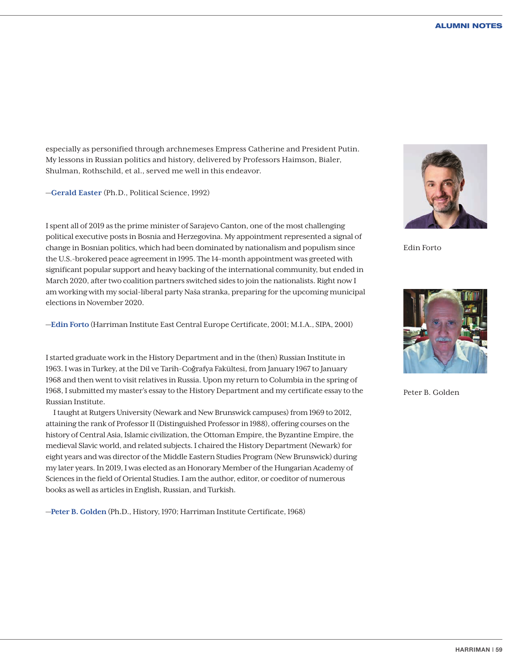especially as personified through archnemeses Empress Catherine and President Putin. My lessons in Russian politics and history, delivered by Professors Haimson, Bialer, Shulman, Rothschild, et al., served me well in this endeavor.

—**Gerald Easter** (Ph.D., Political Science, 1992)

I spent all of 2019 as the prime minister of Sarajevo Canton, one of the most challenging political executive posts in Bosnia and Herzegovina. My appointment represented a signal of change in Bosnian politics, which had been dominated by nationalism and populism since the U.S.-brokered peace agreement in 1995. The 14-month appointment was greeted with significant popular support and heavy backing of the international community, but ended in March 2020, after two coalition partners switched sides to join the nationalists. Right now I am working with my social-liberal party Naša stranka, preparing for the upcoming municipal elections in November 2020.

—**Edin Forto** (Harriman Institute East Central Europe Certificate, 2001; M.I.A., SIPA, 2001)

I started graduate work in the History Department and in the (then) Russian Institute in 1963. I was in Turkey, at the Dil ve Tarih-Cografya Fakültesi, from January 1967 to January 1968 and then went to visit relatives in Russia. Upon my return to Columbia in the spring of 1968, I submitted my master's essay to the History Department and my certificate essay to the Russian Institute.

I taught at Rutgers University (Newark and New Brunswick campuses) from 1969 to 2012, attaining the rank of Professor II (Distinguished Professor in 1988), offering courses on the history of Central Asia, Islamic civilization, the Ottoman Empire, the Byzantine Empire, the medieval Slavic world, and related subjects. I chaired the History Department (Newark) for eight years and was director of the Middle Eastern Studies Program (New Brunswick) during my later years. In 2019, I was elected as an Honorary Member of the Hungarian Academy of Sciences in the field of Oriental Studies. I am the author, editor, or coeditor of numerous books as well as articles in English, Russian, and Turkish.

—**Peter B. Golden** (Ph.D., History, 1970; Harriman Institute Certificate, 1968)



Edin Forto



Peter B. Golden